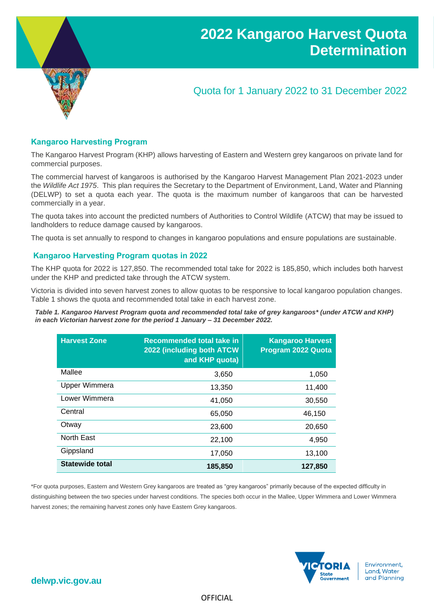

# Quota for 1 January 2022 to 31 December 2022

### **Kangaroo Harvesting Program**

The Kangaroo Harvest Program (KHP) allows harvesting of Eastern and Western grey kangaroos on private land for commercial purposes.

The commercial harvest of kangaroos is authorised by the Kangaroo Harvest Management Plan 2021-2023 under the *Wildlife Act 1975*. This plan requires the Secretary to the Department of Environment, Land, Water and Planning (DELWP) to set a quota each year. The quota is the maximum number of kangaroos that can be harvested commercially in a year.

The quota takes into account the predicted numbers of Authorities to Control Wildlife (ATCW) that may be issued to landholders to reduce damage caused by kangaroos.

The quota is set annually to respond to changes in kangaroo populations and ensure populations are sustainable.

### **Kangaroo Harvesting Program quotas in 2022**

The KHP quota for 2022 is 127,850. The recommended total take for 2022 is 185,850, which includes both harvest under the KHP and predicted take through the ATCW system.

Victoria is divided into seven harvest zones to allow quotas to be responsive to local kangaroo population changes. Table 1 shows the quota and recommended total take in each harvest zone.

*Table 1. Kangaroo Harvest Program quota and recommended total take of grey kangaroos\* (under ATCW and KHP) in each Victorian harvest zone for the period 1 January – 31 December 2022.*

| <b>Harvest Zone</b>    | <b>Recommended total take in</b><br>2022 (including both ATCW<br>and KHP quota) | <b>Kangaroo Harvest</b><br>Program 2022 Quota |
|------------------------|---------------------------------------------------------------------------------|-----------------------------------------------|
| Mallee                 | 3,650                                                                           | 1,050                                         |
| Upper Wimmera          | 13,350                                                                          | 11,400                                        |
| Lower Wimmera          | 41,050                                                                          | 30,550                                        |
| Central                | 65,050                                                                          | 46,150                                        |
| Otway                  | 23,600                                                                          | 20,650                                        |
| North East             | 22,100                                                                          | 4,950                                         |
| Gippsland              | 17,050                                                                          | 13,100                                        |
| <b>Statewide total</b> | 185,850                                                                         | 127,850                                       |

\*For quota purposes, Eastern and Western Grey kangaroos are treated as "grey kangaroos" primarily because of the expected difficulty in distinguishing between the two species under harvest conditions. The species both occur in the Mallee, Upper Wimmera and Lower Wimmera harvest zones; the remaining harvest zones only have Eastern Grey kangaroos.